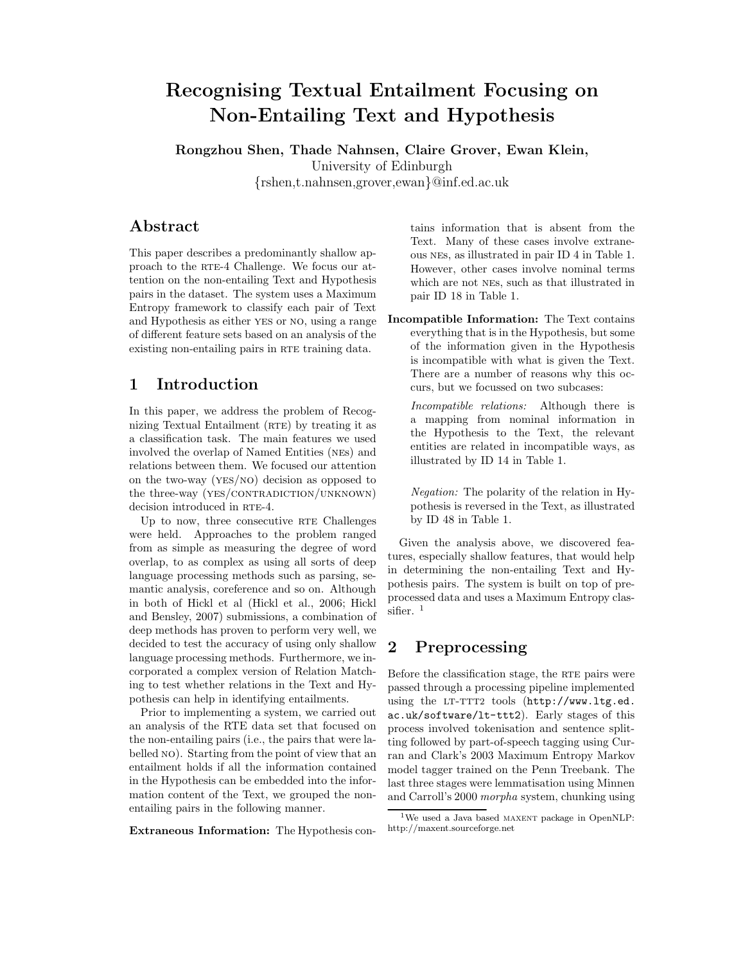# Recognising Textual Entailment Focusing on Non-Entailing Text and Hypothesis

Rongzhou Shen, Thade Nahnsen, Claire Grover, Ewan Klein, University of Edinburgh {rshen,t.nahnsen,grover,ewan}@inf.ed.ac.uk

# Abstract

This paper describes a predominantly shallow approach to the RTE-4 Challenge. We focus our attention on the non-entailing Text and Hypothesis pairs in the dataset. The system uses a Maximum Entropy framework to classify each pair of Text and Hypothesis as either yes or no, using a range of different feature sets based on an analysis of the existing non-entailing pairs in RTE training data.

# 1 Introduction

In this paper, we address the problem of Recognizing Textual Entailment (RTE) by treating it as a classification task. The main features we used involved the overlap of Named Entities (nes) and relations between them. We focused our attention on the two-way (yes/no) decision as opposed to the three-way  $(YES/CONTRADICTION/UNKNOWLED)$ decision introduced in RTE-4.

Up to now, three consecutive RTE Challenges were held. Approaches to the problem ranged from as simple as measuring the degree of word overlap, to as complex as using all sorts of deep language processing methods such as parsing, semantic analysis, coreference and so on. Although in both of Hickl et al (Hickl et al., 2006; Hickl and Bensley, 2007) submissions, a combination of deep methods has proven to perform very well, we decided to test the accuracy of using only shallow language processing methods. Furthermore, we incorporated a complex version of Relation Matching to test whether relations in the Text and Hypothesis can help in identifying entailments.

Prior to implementing a system, we carried out an analysis of the RTE data set that focused on the non-entailing pairs (i.e., the pairs that were labelled no). Starting from the point of view that an entailment holds if all the information contained in the Hypothesis can be embedded into the information content of the Text, we grouped the nonentailing pairs in the following manner.

Extraneous Information: The Hypothesis con-

tains information that is absent from the Text. Many of these cases involve extraneous nes, as illustrated in pair ID 4 in Table 1. However, other cases involve nominal terms which are not nes, such as that illustrated in pair ID 18 in Table 1.

Incompatible Information: The Text contains everything that is in the Hypothesis, but some of the information given in the Hypothesis is incompatible with what is given the Text. There are a number of reasons why this occurs, but we focussed on two subcases:

Incompatible relations: Although there is a mapping from nominal information in the Hypothesis to the Text, the relevant entities are related in incompatible ways, as illustrated by ID 14 in Table 1.

Negation: The polarity of the relation in Hypothesis is reversed in the Text, as illustrated by ID 48 in Table 1.

Given the analysis above, we discovered features, especially shallow features, that would help in determining the non-entailing Text and Hypothesis pairs. The system is built on top of preprocessed data and uses a Maximum Entropy classifier.<sup>1</sup>

# 2 Preprocessing

Before the classification stage, the RTE pairs were passed through a processing pipeline implemented using the LT-TTT2 tools (http://www.ltg.ed. ac.uk/software/lt-ttt2). Early stages of this process involved tokenisation and sentence splitting followed by part-of-speech tagging using Curran and Clark's 2003 Maximum Entropy Markov model tagger trained on the Penn Treebank. The last three stages were lemmatisation using Minnen and Carroll's 2000 morpha system, chunking using

 $1$ We used a Java based MAXENT package in OpenNLP: http://maxent.sourceforge.net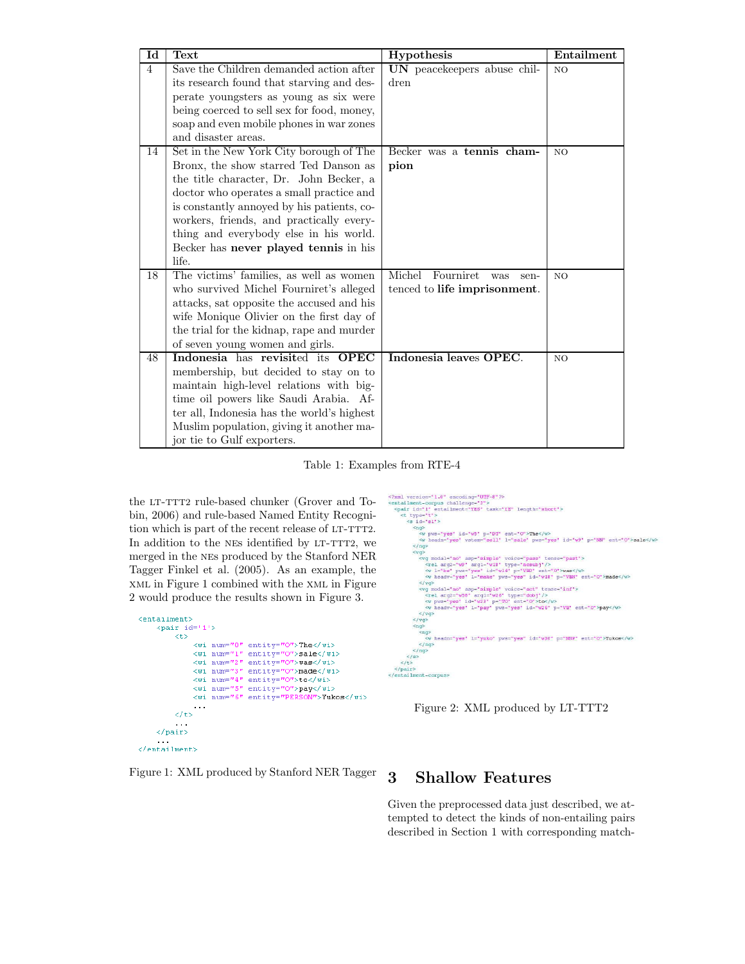| Id             | Text                                       | Hypothesis                         | Entailment     |
|----------------|--------------------------------------------|------------------------------------|----------------|
| $\overline{4}$ | Save the Children demanded action after    | UN peacekeepers abuse chil-        | N <sub>O</sub> |
|                | its research found that starving and des-  | dren                               |                |
|                | perate youngsters as young as six were     |                                    |                |
|                | being coerced to sell sex for food, money, |                                    |                |
|                | soap and even mobile phones in war zones   |                                    |                |
|                | and disaster areas.                        |                                    |                |
| 14             | Set in the New York City borough of The    | Becker was a tennis cham-          | NO.            |
|                | Bronx, the show starred Ted Danson as      | pion                               |                |
|                | the title character, Dr. John Becker, a    |                                    |                |
|                | doctor who operates a small practice and   |                                    |                |
|                | is constantly annoyed by his patients, co- |                                    |                |
|                | workers, friends, and practically every-   |                                    |                |
|                | thing and everybody else in his world.     |                                    |                |
|                | Becker has never played tennis in his      |                                    |                |
|                | life.                                      |                                    |                |
| 18             | The victims' families, as well as women    | Michel<br>Fourniret<br>was<br>sen- | NO.            |
|                | who survived Michel Fourniret's alleged    | tenced to life imprisonment.       |                |
|                | attacks, sat opposite the accused and his  |                                    |                |
|                | wife Monique Olivier on the first day of   |                                    |                |
|                | the trial for the kidnap, rape and murder  |                                    |                |
|                | of seven young women and girls.            |                                    |                |
| 48             | Indonesia has revisited its OPEC           | Indonesia leaves OPEC.             | N <sub>O</sub> |
|                | membership, but decided to stay on to      |                                    |                |
|                | maintain high-level relations with big-    |                                    |                |
|                | time oil powers like Saudi Arabia. Af-     |                                    |                |
|                | ter all, Indonesia has the world's highest |                                    |                |
|                | Muslim population, giving it another ma-   |                                    |                |
|                | jor tie to Gulf exporters.                 |                                    |                |

Table 1: Examples from RTE-4

 $\frac{2}{\pi}$ 

the LT-TTT2 rule-based chunker (Grover and Tobin, 2006) and rule-based Named Entity Recognition which is part of the recent release of LT-TTT2. In addition to the NES identified by LT-TTT2, we merged in the nes produced by the Stanford NER Tagger Finkel et al. (2005). As an example, the xml in Figure 1 combined with the xml in Figure 2 would produce the results shown in Figure 3.

| <entailment><br/><math>\langle pair id='1' \rangle</math></entailment> |             |                                        |
|------------------------------------------------------------------------|-------------|----------------------------------------|
| くもう                                                                    |             |                                        |
|                                                                        |             | <wi entity="0" num="0">The</wi>        |
|                                                                        |             | <wi entitv="0" num="1">sale</wi>       |
|                                                                        |             | <wi entitv="0" num="2">was</wi>        |
|                                                                        | ≺wi num=″3″ | $entity="0" > made$                    |
|                                                                        |             | <wi entitv="0" num="4">to</wi>         |
|                                                                        |             | <wi entity="0" num="5">pay</wi>        |
|                                                                        |             | <wi entitv="PERSON" num="6">Yukos</wi> |
| .                                                                      |             |                                        |
| $\langle$ /t>                                                          |             |                                        |
| .<br>                                                                  |             |                                        |
| .<br>                                                                  |             |                                        |

Figure 2: XML produced by LT-TTT2

><br>
yq modal="no" asp="simple" voice="pass" tense="past"><br>
<rel arg2="w9" arg1="w18" type="nosmbj"/><br>
<w l="be" pvs="yes" id="w14" p="VBD" ent="0">was</w><br>
<w leadv="yes" l="make" pvs="yes" id="w18" p="VBN" ent="0">made</v>

y<<br><w headn="yes" l="yuko" pws="yes" id="w30" p="NNP" ent="0">Yukos</w>

</when the strength of the strength of the strength of the strength of the strength of the strength of the strength of the strength of the strength of the strength of the strength of parameter of the strength of parameter

Figure 1: XML produced by Stanford NER Tagger

# 3 Shallow Features

Given the preprocessed data just described, we attempted to detect the kinds of non-entailing pairs described in Section 1 with corresponding match-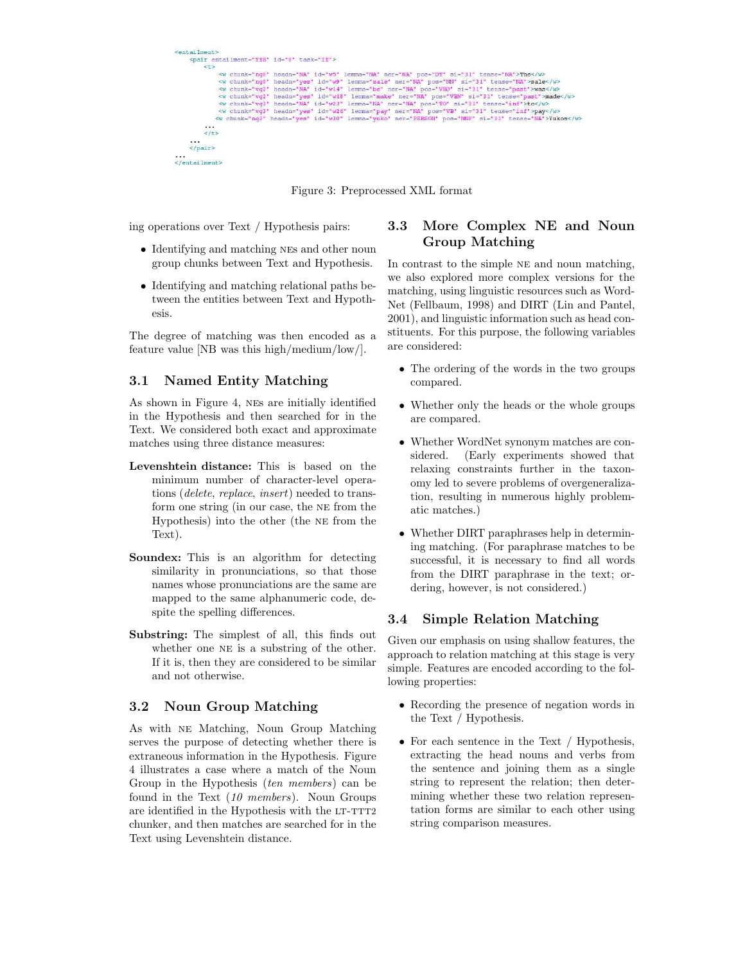```
<entailment>
       <pair entailment="YES" id="0" task="IE">
              \leftrightarrow\sim w chunk="ng0" headn="NA" id="w5" lemma="NA" ner="NA" pos="DT" si="31" tense="NA">The</w><w chunk="ng0" headn="yes" id="w9" lemma="sale" ner="NA" pos="NN" si="31" tense="NA">sale</w></w> chunk="vg2" headn="NA" lemma="
             \frac{1}{5}...<br></pair>
</entailment>
```
Figure 3: Preprocessed XML format

ing operations over Text / Hypothesis pairs:

- Identifying and matching NES and other noun group chunks between Text and Hypothesis.
- Identifying and matching relational paths between the entities between Text and Hypothesis.

The degree of matching was then encoded as a feature value [NB was this high/medium/low/].

#### 3.1 Named Entity Matching

As shown in Figure 4, nes are initially identified in the Hypothesis and then searched for in the Text. We considered both exact and approximate matches using three distance measures:

- Levenshtein distance: This is based on the minimum number of character-level operations (delete, replace, insert) needed to transform one string (in our case, the ne from the Hypothesis) into the other (the ne from the Text).
- Soundex: This is an algorithm for detecting similarity in pronunciations, so that those names whose pronunciations are the same are mapped to the same alphanumeric code, despite the spelling differences.
- Substring: The simplest of all, this finds out whether one NE is a substring of the other. If it is, then they are considered to be similar and not otherwise.

#### 3.2 Noun Group Matching

As with ne Matching, Noun Group Matching serves the purpose of detecting whether there is extraneous information in the Hypothesis. Figure 4 illustrates a case where a match of the Noun Group in the Hypothesis (ten members) can be found in the Text  $(10 \text{ members})$ . Noun Groups are identified in the Hypothesis with the LT-TTT2 chunker, and then matches are searched for in the Text using Levenshtein distance.

#### 3.3 More Complex NE and Noun Group Matching

In contrast to the simple NE and noun matching, we also explored more complex versions for the matching, using linguistic resources such as Word-Net (Fellbaum, 1998) and DIRT (Lin and Pantel, 2001), and linguistic information such as head constituents. For this purpose, the following variables are considered:

- The ordering of the words in the two groups compared.
- Whether only the heads or the whole groups are compared.
- Whether WordNet synonym matches are considered. (Early experiments showed that relaxing constraints further in the taxonomy led to severe problems of overgeneralization, resulting in numerous highly problematic matches.)
- Whether DIRT paraphrases help in determining matching. (For paraphrase matches to be successful, it is necessary to find all words from the DIRT paraphrase in the text; ordering, however, is not considered.)

#### 3.4 Simple Relation Matching

Given our emphasis on using shallow features, the approach to relation matching at this stage is very simple. Features are encoded according to the following properties:

- Recording the presence of negation words in the Text / Hypothesis.
- For each sentence in the Text / Hypothesis, extracting the head nouns and verbs from the sentence and joining them as a single string to represent the relation; then determining whether these two relation representation forms are similar to each other using string comparison measures.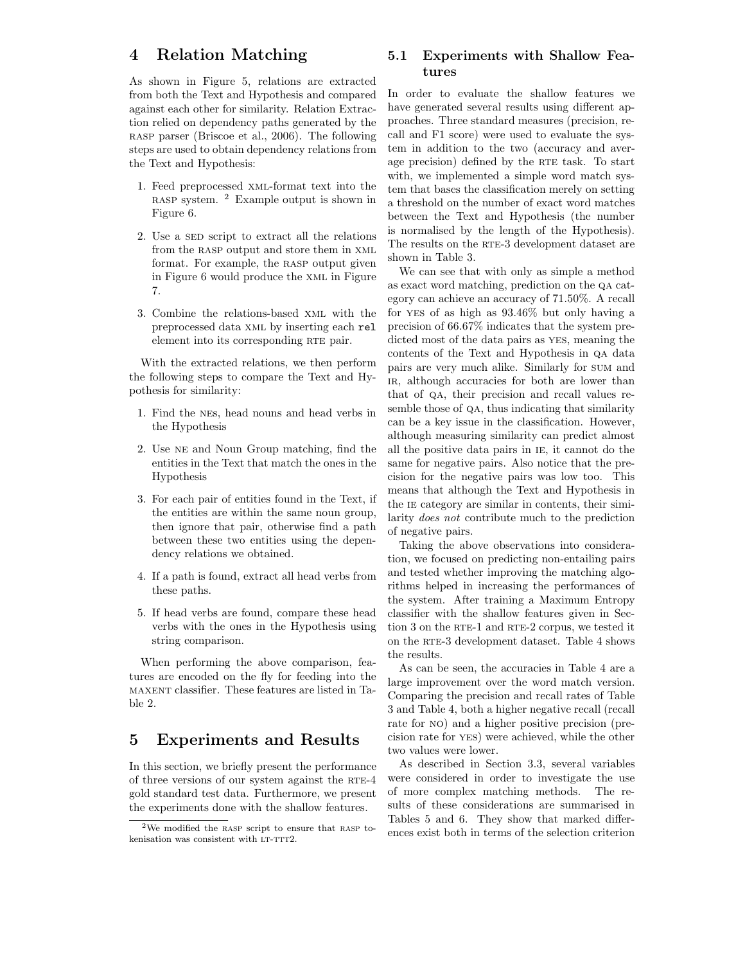### 4 Relation Matching

As shown in Figure 5, relations are extracted from both the Text and Hypothesis and compared against each other for similarity. Relation Extraction relied on dependency paths generated by the rasp parser (Briscoe et al., 2006). The following steps are used to obtain dependency relations from the Text and Hypothesis:

- 1. Feed preprocessed xml-format text into the rasp system. <sup>2</sup> Example output is shown in Figure 6.
- 2. Use a SED script to extract all the relations from the RASP output and store them in XML format. For example, the RASP output given in Figure 6 would produce the xml in Figure 7.
- 3. Combine the relations-based xml with the preprocessed data xml by inserting each rel element into its corresponding RTE pair.

With the extracted relations, we then perform the following steps to compare the Text and Hypothesis for similarity:

- 1. Find the nes, head nouns and head verbs in the Hypothesis
- 2. Use ne and Noun Group matching, find the entities in the Text that match the ones in the Hypothesis
- 3. For each pair of entities found in the Text, if the entities are within the same noun group, then ignore that pair, otherwise find a path between these two entities using the dependency relations we obtained.
- 4. If a path is found, extract all head verbs from these paths.
- 5. If head verbs are found, compare these head verbs with the ones in the Hypothesis using string comparison.

When performing the above comparison, features are encoded on the fly for feeding into the maxent classifier. These features are listed in Table 2.

# 5 Experiments and Results

In this section, we briefly present the performance of three versions of our system against the RTE-4 gold standard test data. Furthermore, we present the experiments done with the shallow features.

#### 5.1 Experiments with Shallow Features

In order to evaluate the shallow features we have generated several results using different approaches. Three standard measures (precision, recall and F1 score) were used to evaluate the system in addition to the two (accuracy and average precision) defined by the RTE task. To start with, we implemented a simple word match system that bases the classification merely on setting a threshold on the number of exact word matches between the Text and Hypothesis (the number is normalised by the length of the Hypothesis). The results on the RTE-3 development dataset are shown in Table 3.

We can see that with only as simple a method as exact word matching, prediction on the qa category can achieve an accuracy of 71.50%. A recall for yes of as high as 93.46% but only having a precision of 66.67% indicates that the system predicted most of the data pairs as yes, meaning the contents of the Text and Hypothesis in qa data pairs are very much alike. Similarly for sum and ir, although accuracies for both are lower than that of qa, their precision and recall values resemble those of qa, thus indicating that similarity can be a key issue in the classification. However, although measuring similarity can predict almost all the positive data pairs in ie, it cannot do the same for negative pairs. Also notice that the precision for the negative pairs was low too. This means that although the Text and Hypothesis in the IE category are similar in contents, their similarity does not contribute much to the prediction of negative pairs.

Taking the above observations into consideration, we focused on predicting non-entailing pairs and tested whether improving the matching algorithms helped in increasing the performances of the system. After training a Maximum Entropy classifier with the shallow features given in Section 3 on the RTE-1 and RTE-2 corpus, we tested it on the RTE-3 development dataset. Table 4 shows the results.

As can be seen, the accuracies in Table 4 are a large improvement over the word match version. Comparing the precision and recall rates of Table 3 and Table 4, both a higher negative recall (recall rate for no) and a higher positive precision (precision rate for yes) were achieved, while the other two values were lower.

As described in Section 3.3, several variables were considered in order to investigate the use of more complex matching methods. The results of these considerations are summarised in Tables 5 and 6. They show that marked differences exist both in terms of the selection criterion

 $2$ We modified the RASP script to ensure that RASP tokenisation was consistent with LT-TTT2.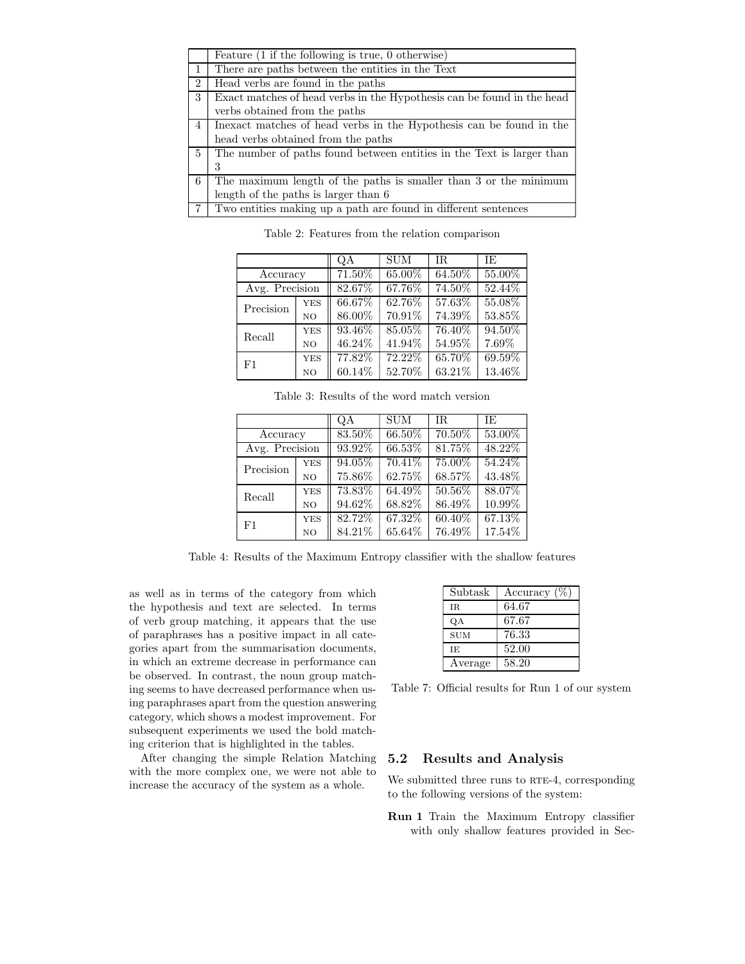|                | Feature $(1$ if the following is true, $0$ otherwise)                  |
|----------------|------------------------------------------------------------------------|
|                | There are paths between the entities in the Text                       |
| $\overline{2}$ | Head verbs are found in the paths                                      |
| 3              | Exact matches of head verbs in the Hypothesis can be found in the head |
|                | verbs obtained from the paths                                          |
| $\overline{4}$ | Inexact matches of head verbs in the Hypothesis can be found in the    |
|                | head verbs obtained from the paths                                     |
| $\frac{5}{2}$  | The number of paths found between entities in the Text is larger than  |
|                | 3                                                                      |
| 6              | The maximum length of the paths is smaller than 3 or the minimum       |
|                | length of the paths is larger than 6                                   |
| 7              | Two entities making up a path are found in different sentences         |

Table 2: Features from the relation comparison

|                |                | QΑ     | <b>SUM</b> | IR.    | ΙE     |
|----------------|----------------|--------|------------|--------|--------|
| Accuracy       |                | 71.50% | 65.00%     | 64.50% | 55.00% |
| Avg. Precision |                | 82.67% | 67.76%     | 74.50% | 52.44% |
| Precision      | <b>YES</b>     | 66.67% | 62.76%     | 57.63% | 55.08% |
|                | N <sub>O</sub> | 86.00% | 70.91%     | 74.39% | 53.85% |
| Recall         | <b>YES</b>     | 93.46% | 85.05%     | 76.40% | 94.50% |
|                | N <sub>O</sub> | 46.24% | 41.94%     | 54.95% | 7.69%  |
| F1             | <b>YES</b>     | 77.82% | 72.22%     | 65.70% | 69.59% |
|                | N <sub>O</sub> | 60.14% | 52.70%     | 63.21% | 13.46% |

Table 3: Results of the word match version

|                |                | QΑ     | <b>SUM</b> | IR.       | ΙE     |
|----------------|----------------|--------|------------|-----------|--------|
| Accuracy       |                | 83.50% | 66.50%     | 70.50%    | 53.00% |
| Avg. Precision |                | 93.92% | 66.53%     | 81.75%    | 48.22% |
| Precision      | <b>YES</b>     | 94.05% | 70.41%     | 75.00%    | 54.24% |
|                | N <sub>O</sub> | 75.86% | 62.75%     | 68.57%    | 43.48% |
| Recall         | <b>YES</b>     | 73.83% | 64.49%     | 50.56%    | 88.07% |
|                | N <sub>O</sub> | 94.62% | 68.82%     | 86.49%    | 10.99% |
| F1             | <b>YES</b>     | 82.72% | 67.32%     | $60.40\%$ | 67.13% |
|                | N <sub>O</sub> | 84.21% | $65.64\%$  | 76.49%    | 17.54% |

Table 4: Results of the Maximum Entropy classifier with the shallow features

as well as in terms of the category from which the hypothesis and text are selected. In terms of verb group matching, it appears that the use of paraphrases has a positive impact in all categories apart from the summarisation documents, in which an extreme decrease in performance can be observed. In contrast, the noun group matching seems to have decreased performance when using paraphrases apart from the question answering category, which shows a modest improvement. For subsequent experiments we used the bold matching criterion that is highlighted in the tables.

After changing the simple Relation Matching with the more complex one, we were not able to increase the accuracy of the system as a whole.

| Subtask    | Accuracy $(\%)$ |
|------------|-----------------|
| IR.        | 64.67           |
| QA         | 67.67           |
| <b>SUM</b> | 76.33           |
| TE.        | 52.00           |
| Average    | 58.20           |

Table 7: Official results for Run 1 of our system

#### 5.2 Results and Analysis

We submitted three runs to RTE-4, corresponding to the following versions of the system:

Run 1 Train the Maximum Entropy classifier with only shallow features provided in Sec-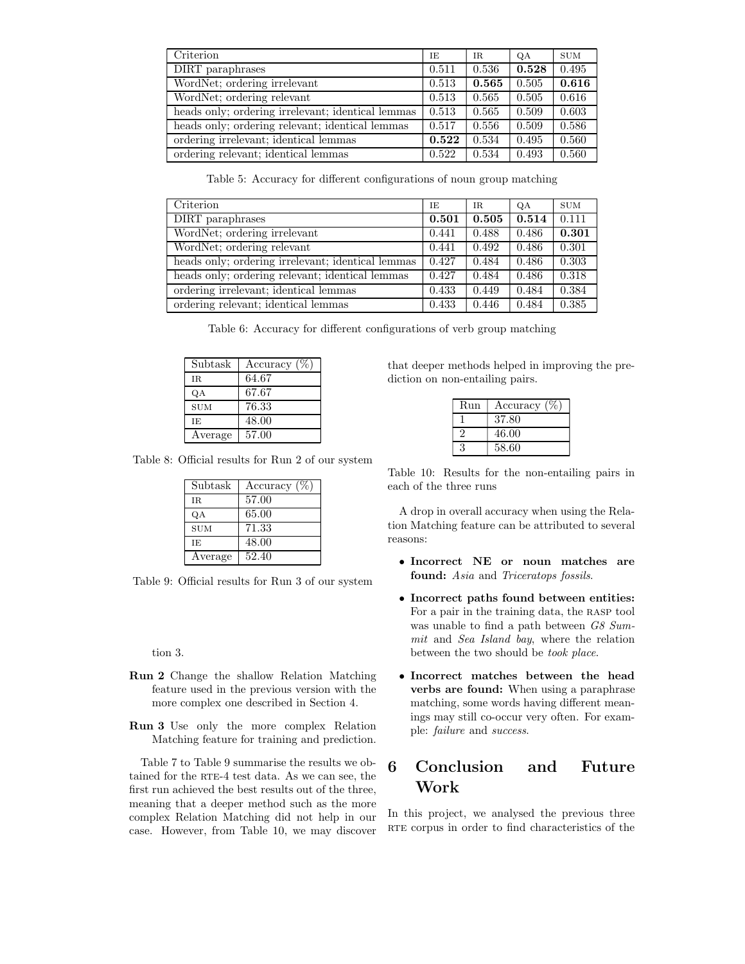| Criterion                                         | ΙE    | IR.   | QA    | <b>SUM</b> |
|---------------------------------------------------|-------|-------|-------|------------|
| DIRT paraphrases                                  | 0.511 | 0.536 | 0.528 | 0.495      |
| WordNet; ordering irrelevant                      | 0.513 | 0.565 | 0.505 | 0.616      |
| WordNet; ordering relevant                        | 0.513 | 0.565 | 0.505 | 0.616      |
| heads only; ordering irrelevant; identical lemmas | 0.513 | 0.565 | 0.509 | 0.603      |
| heads only; ordering relevant; identical lemmas   | 0.517 | 0.556 | 0.509 | 0.586      |
| ordering irrelevant; identical lemmas             | 0.522 | 0.534 | 0.495 | 0.560      |
| ordering relevant; identical lemmas               | 0.522 | 0.534 | 0.493 | 0.560      |

Table 5: Accuracy for different configurations of noun group matching

| Criterion                                         | ΙE    | IR.   | QA    | <b>SUM</b> |
|---------------------------------------------------|-------|-------|-------|------------|
| DIRT paraphrases                                  | 0.501 | 0.505 | 0.514 | 0.111      |
| WordNet; ordering irrelevant                      | 0.441 | 0.488 | 0.486 | 0.301      |
| WordNet; ordering relevant                        | 0.441 | 0.492 | 0.486 | 0.301      |
| heads only; ordering irrelevant; identical lemmas | 0.427 | 0.484 | 0.486 | 0.303      |
| heads only; ordering relevant; identical lemmas   | 0.427 | 0.484 | 0.486 | 0.318      |
| ordering irrelevant; identical lemmas             | 0.433 | 0.449 | 0.484 | 0.384      |
| ordering relevant; identical lemmas               | 0.433 | 0.446 | 0.484 | 0.385      |

|  |  |  |  | Table 6: Accuracy for different configurations of verb group matching |  |  |  |  |
|--|--|--|--|-----------------------------------------------------------------------|--|--|--|--|
|--|--|--|--|-----------------------------------------------------------------------|--|--|--|--|

| Subtask    | Accuracy $(\%)$ |
|------------|-----------------|
| IR.        | 64.67           |
| QA         | 67.67           |
| <b>SUM</b> | 76.33           |
| IE.        | 48.00           |
| Average    | 57.00           |

Table 8: Official results for Run 2 of our system

| Subtask    | Accuracy $(\% )$ |
|------------|------------------|
| IR.        | 57.00            |
| QA         | 65.00            |
| <b>SUM</b> | 71.33            |
| ΙE         | 48.00            |
| Average    | 52.40            |

Table 9: Official results for Run 3 of our system

tion 3.

- Run 2 Change the shallow Relation Matching feature used in the previous version with the more complex one described in Section 4.
- Run 3 Use only the more complex Relation Matching feature for training and prediction.

Table 7 to Table 9 summarise the results we obtained for the RTE-4 test data. As we can see, the first run achieved the best results out of the three, meaning that a deeper method such as the more complex Relation Matching did not help in our case. However, from Table 10, we may discover

that deeper methods helped in improving the prediction on non-entailing pairs.

| Run | Accuracy |
|-----|----------|
|     | 37.80    |
|     | 46.00    |
| 3   | 58.60    |

Table 10: Results for the non-entailing pairs in each of the three runs

A drop in overall accuracy when using the Relation Matching feature can be attributed to several reasons:

- Incorrect NE or noun matches are found: Asia and Triceratops fossils.
- Incorrect paths found between entities: For a pair in the training data, the rasp tool was unable to find a path between G8 Summit and Sea Island bay, where the relation between the two should be took place.
- Incorrect matches between the head verbs are found: When using a paraphrase matching, some words having different meanings may still co-occur very often. For example: failure and success.

# 6 Conclusion and Future Work

In this project, we analysed the previous three RTE corpus in order to find characteristics of the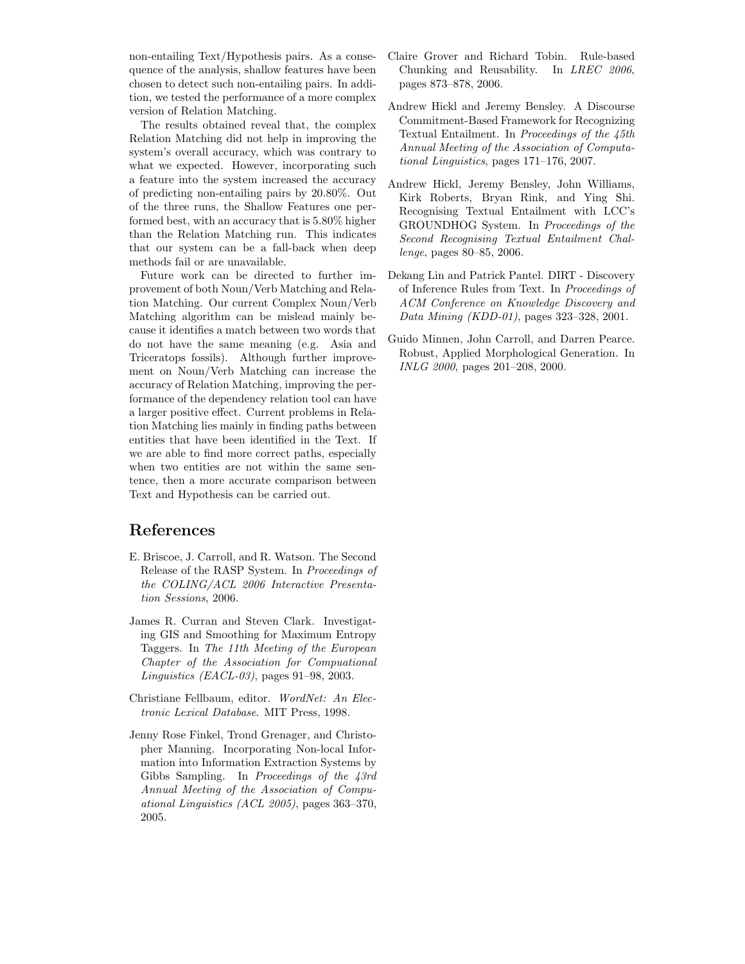non-entailing Text/Hypothesis pairs. As a consequence of the analysis, shallow features have been chosen to detect such non-entailing pairs. In addition, we tested the performance of a more complex version of Relation Matching.

The results obtained reveal that, the complex Relation Matching did not help in improving the system's overall accuracy, which was contrary to what we expected. However, incorporating such a feature into the system increased the accuracy of predicting non-entailing pairs by 20.80%. Out of the three runs, the Shallow Features one performed best, with an accuracy that is 5.80% higher than the Relation Matching run. This indicates that our system can be a fall-back when deep methods fail or are unavailable.

Future work can be directed to further improvement of both Noun/Verb Matching and Relation Matching. Our current Complex Noun/Verb Matching algorithm can be mislead mainly because it identifies a match between two words that do not have the same meaning (e.g. Asia and Triceratops fossils). Although further improvement on Noun/Verb Matching can increase the accuracy of Relation Matching, improving the performance of the dependency relation tool can have a larger positive effect. Current problems in Relation Matching lies mainly in finding paths between entities that have been identified in the Text. If we are able to find more correct paths, especially when two entities are not within the same sentence, then a more accurate comparison between Text and Hypothesis can be carried out.

# References

- E. Briscoe, J. Carroll, and R. Watson. The Second Release of the RASP System. In Proceedings of the COLING/ACL 2006 Interactive Presentation Sessions, 2006.
- James R. Curran and Steven Clark. Investigating GIS and Smoothing for Maximum Entropy Taggers. In The 11th Meeting of the European Chapter of the Association for Compuational Linguistics (EACL-03), pages 91–98, 2003.
- Christiane Fellbaum, editor. WordNet: An Electronic Lexical Database. MIT Press, 1998.
- Jenny Rose Finkel, Trond Grenager, and Christopher Manning. Incorporating Non-local Information into Information Extraction Systems by Gibbs Sampling. In Proceedings of the 43rd Annual Meeting of the Association of Compuational Linguistics (ACL 2005), pages 363–370, 2005.
- Claire Grover and Richard Tobin. Rule-based Chunking and Reusability. In LREC 2006, pages 873–878, 2006.
- Andrew Hickl and Jeremy Bensley. A Discourse Commitment-Based Framework for Recognizing Textual Entailment. In Proceedings of the 45th Annual Meeting of the Association of Computational Linguistics, pages 171–176, 2007.
- Andrew Hickl, Jeremy Bensley, John Williams, Kirk Roberts, Bryan Rink, and Ying Shi. Recognising Textual Entailment with LCC's GROUNDHOG System. In Proceedings of the Second Recognising Textual Entailment Challenge, pages 80–85, 2006.
- Dekang Lin and Patrick Pantel. DIRT Discovery of Inference Rules from Text. In Proceedings of ACM Conference on Knowledge Discovery and Data Mining (KDD-01), pages 323–328, 2001.
- Guido Minnen, John Carroll, and Darren Pearce. Robust, Applied Morphological Generation. In INLG 2000, pages 201–208, 2000.